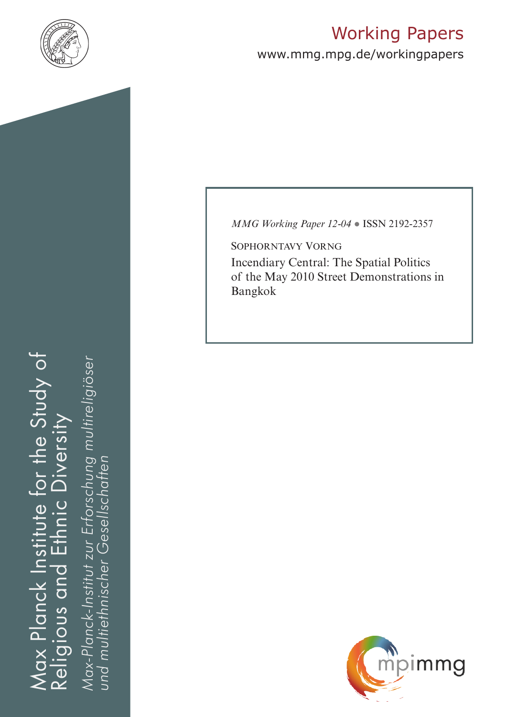

# Working Papers

www.mmg.mpg.de/workingpapers

Max Planck Institute for the Study of Religious and Ethnic Diversity ax Planck Institute for the Study of nic Diversity ய் Religious and

*Max-Planck-Institut zur Erforschung multireligiöser*  öser Max-Planck-Institut zur Erforschung multireligiö *und multiethnischer Gesellschaften*und multiethnischer Gesellschaften *MMG Working Paper 12-04* ● ISSN 2192-2357

Sophorntavy Vorng Incendiary Central: The Spatial Politics of the May 2010 Street Demonstrations in Bangkok

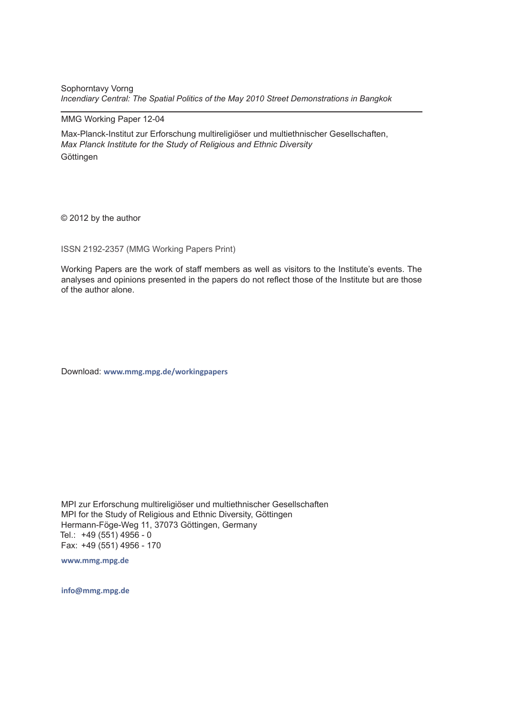Sophorntavy Vorng *Incendiary Central: The Spatial Politics of the May 2010 Street Demonstrations in Bangkok* 

#### MMG Working Paper 12-04

Max-Planck-Institut zur Erforschung multireligiöser und multiethnischer Gesellschaften, *Max Planck Institute for the Study of Religious and Ethnic Diversity* **Göttingen** 

© 2012 by the author

ISSN 2192-2357 (MMG Working Papers Print)

Working Papers are the work of staff members as well as visitors to the Institute's events. The analyses and opinions presented in the papers do not reflect those of the Institute but are those of the author alone.

Download: **www.mmg.mpg.de/workingpapers** 

MPI zur Erforschung multireligiöser und multiethnischer Gesellschaften MPI for the Study of Religious and Ethnic Diversity, Göttingen Hermann-Föge-Weg 11, 37073 Göttingen, Germany Tel.: +49 (551) 4956 - 0 Fax: +49 (551) 4956 - 170

**www.mmg.mpg.de**

**info@mmg.mpg.de**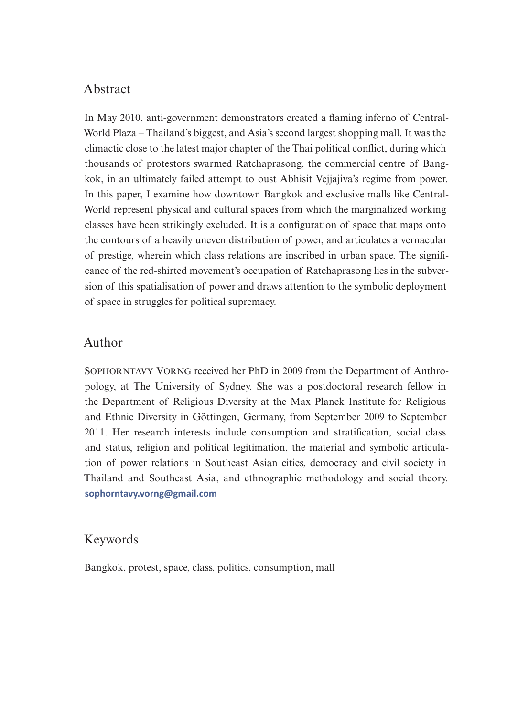# Abstract

In May 2010, anti-government demonstrators created a flaming inferno of Central-World Plaza – Thailand's biggest, and Asia's second largest shopping mall. It was the climactic close to the latest major chapter of the Thai political conflict, during which thousands of protestors swarmed Ratchaprasong, the commercial centre of Bangkok, in an ultimately failed attempt to oust Abhisit Vejjajiva's regime from power. In this paper, I examine how downtown Bangkok and exclusive malls like Central-World represent physical and cultural spaces from which the marginalized working classes have been strikingly excluded. It is a configuration of space that maps onto the contours of a heavily uneven distribution of power, and articulates a vernacular of prestige, wherein which class relations are inscribed in urban space. The significance of the red-shirted movement's occupation of Ratchaprasong lies in the subversion of this spatialisation of power and draws attention to the symbolic deployment of space in struggles for political supremacy.

# Author

SOPHORNTAVY VORNG received her PhD in 2009 from the Department of Anthropology, at The University of Sydney. She was a postdoctoral research fellow in the Department of Religious Diversity at the Max Planck Institute for Religious and Ethnic Diversity in Göttingen, Germany, from September 2009 to September 2011. Her research interests include consumption and stratification, social class and status, religion and political legitimation, the material and symbolic articulation of power relations in Southeast Asian cities, democracy and civil society in Thailand and Southeast Asia, and ethnographic methodology and social theory. **[sophorntavy.vorng@gmail.com](mailto:sophorntavy.vorng%40gmail.com?subject=WP_12-04)**

### Keywords

Bangkok, protest, space, class, politics, consumption, mall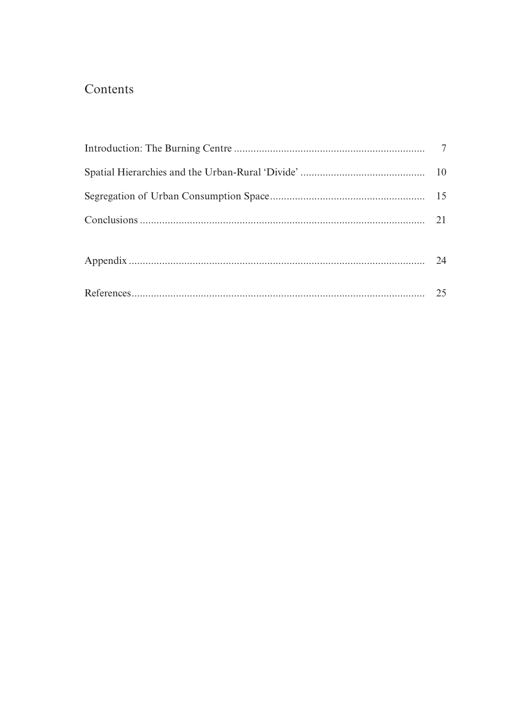# Contents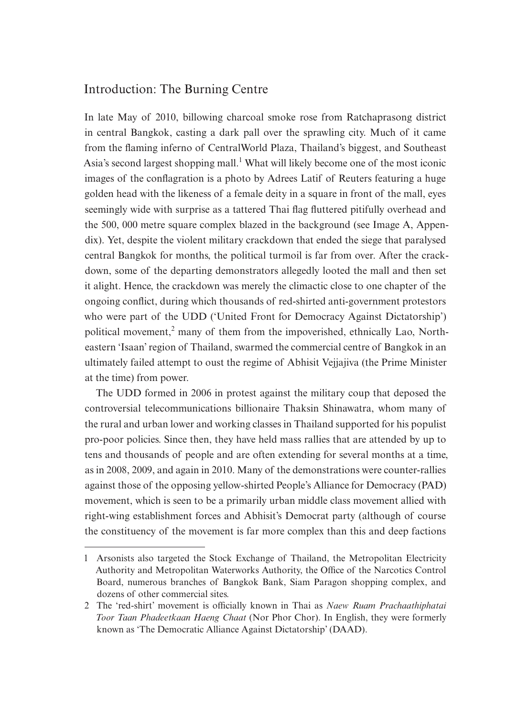# Introduction: The Burning Centre

In late May of 2010, billowing charcoal smoke rose from Ratchaprasong district in central Bangkok, casting a dark pall over the sprawling city. Much of it came from the flaming inferno of CentralWorld Plaza, Thailand's biggest, and Southeast Asia's second largest shopping mall.<sup>1</sup> What will likely become one of the most iconic images of the conflagration is a photo by Adrees Latif of Reuters featuring a huge golden head with the likeness of a female deity in a square in front of the mall, eyes seemingly wide with surprise as a tattered Thai flag fluttered pitifully overhead and the 500, 000 metre square complex blazed in the background (see Image A, Appendix). Yet, despite the violent military crackdown that ended the siege that paralysed central Bangkok for months, the political turmoil is far from over. After the crackdown, some of the departing demonstrators allegedly looted the mall and then set it alight. Hence, the crackdown was merely the climactic close to one chapter of the ongoing conflict, during which thousands of red-shirted anti-government protestors who were part of the UDD ('United Front for Democracy Against Dictatorship') political movement,<sup>2</sup> many of them from the impoverished, ethnically Lao, Northeastern 'Isaan' region of Thailand, swarmed the commercial centre of Bangkok in an ultimately failed attempt to oust the regime of Abhisit Vejjajiva (the Prime Minister at the time) from power.

The UDD formed in 2006 in protest against the military coup that deposed the controversial telecommunications billionaire Thaksin Shinawatra, whom many of the rural and urban lower and working classes in Thailand supported for his populist pro-poor policies. Since then, they have held mass rallies that are attended by up to tens and thousands of people and are often extending for several months at a time, as in 2008, 2009, and again in 2010. Many of the demonstrations were counter-rallies against those of the opposing yellow-shirted People's Alliance for Democracy (PAD) movement, which is seen to be a primarily urban middle class movement allied with right-wing establishment forces and Abhisit's Democrat party (although of course the constituency of the movement is far more complex than this and deep factions

<sup>1</sup> Arsonists also targeted the Stock Exchange of Thailand, the Metropolitan Electricity Authority and Metropolitan Waterworks Authority, the Office of the Narcotics Control Board, numerous branches of Bangkok Bank, Siam Paragon shopping complex, and dozens of other commercial sites.

<sup>2</sup> The 'red-shirt' movement is officially known in Thai as *Naew Ruam Prachaathiphatai Toor Taan Phadeetkaan Haeng Chaat* (Nor Phor Chor). In English, they were formerly known as 'The Democratic Alliance Against Dictatorship' (DAAD).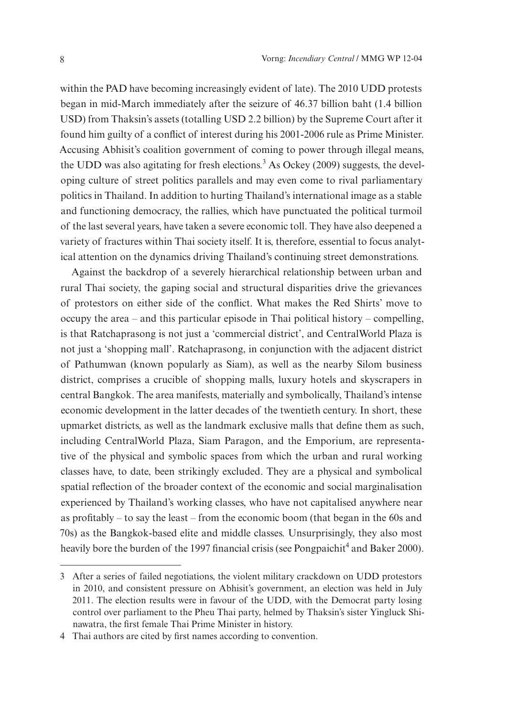within the PAD have becoming increasingly evident of late). The 2010 UDD protests began in mid-March immediately after the seizure of 46.37 billion baht (1.4 billion USD) from Thaksin's assets (totalling USD 2.2 billion) by the Supreme Court after it found him guilty of a conflict of interest during his 2001-2006 rule as Prime Minister. Accusing Abhisit's coalition government of coming to power through illegal means, the UDD was also agitating for fresh elections.<sup>3</sup> As Ockey (2009) suggests, the developing culture of street politics parallels and may even come to rival parliamentary politics in Thailand. In addition to hurting Thailand's international image as a stable and functioning democracy, the rallies, which have punctuated the political turmoil of the last several years, have taken a severe economic toll. They have also deepened a variety of fractures within Thai society itself. It is, therefore, essential to focus analytical attention on the dynamics driving Thailand's continuing street demonstrations.

Against the backdrop of a severely hierarchical relationship between urban and rural Thai society, the gaping social and structural disparities drive the grievances of protestors on either side of the conflict. What makes the Red Shirts' move to occupy the area – and this particular episode in Thai political history – compelling, is that Ratchaprasong is not just a 'commercial district', and CentralWorld Plaza is not just a 'shopping mall'. Ratchaprasong, in conjunction with the adjacent district of Pathumwan (known popularly as Siam), as well as the nearby Silom business district, comprises a crucible of shopping malls, luxury hotels and skyscrapers in central Bangkok. The area manifests, materially and symbolically, Thailand's intense economic development in the latter decades of the twentieth century. In short, these upmarket districts, as well as the landmark exclusive malls that define them as such, including CentralWorld Plaza, Siam Paragon, and the Emporium, are representative of the physical and symbolic spaces from which the urban and rural working classes have, to date, been strikingly excluded. They are a physical and symbolical spatial reflection of the broader context of the economic and social marginalisation experienced by Thailand's working classes, who have not capitalised anywhere near as profitably – to say the least – from the economic boom (that began in the 60s and 70s) as the Bangkok-based elite and middle classes. Unsurprisingly, they also most heavily bore the burden of the 1997 financial crisis (see Pongpaichit<sup>4</sup> and Baker 2000).

<sup>3</sup> After a series of failed negotiations, the violent military crackdown on UDD protestors in 2010, and consistent pressure on Abhisit's government, an election was held in July 2011. The election results were in favour of the UDD, with the Democrat party losing control over parliament to the Pheu Thai party, helmed by Thaksin's sister Yingluck Shinawatra, the first female Thai Prime Minister in history.

<sup>4</sup> Thai authors are cited by first names according to convention.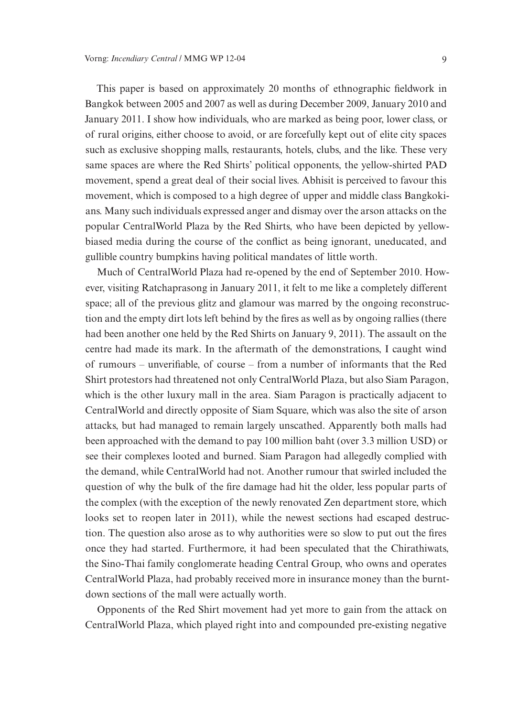This paper is based on approximately 20 months of ethnographic fieldwork in Bangkok between 2005 and 2007 as well as during December 2009, January 2010 and January 2011. I show how individuals, who are marked as being poor, lower class, or of rural origins, either choose to avoid, or are forcefully kept out of elite city spaces such as exclusive shopping malls, restaurants, hotels, clubs, and the like. These very same spaces are where the Red Shirts' political opponents, the yellow-shirted PAD movement, spend a great deal of their social lives. Abhisit is perceived to favour this movement, which is composed to a high degree of upper and middle class Bangkokians. Many such individuals expressed anger and dismay over the arson attacks on the popular CentralWorld Plaza by the Red Shirts, who have been depicted by yellowbiased media during the course of the conflict as being ignorant, uneducated, and gullible country bumpkins having political mandates of little worth.

Much of CentralWorld Plaza had re-opened by the end of September 2010. However, visiting Ratchaprasong in January 2011, it felt to me like a completely different space; all of the previous glitz and glamour was marred by the ongoing reconstruction and the empty dirt lots left behind by the fires as well as by ongoing rallies (there had been another one held by the Red Shirts on January 9, 2011). The assault on the centre had made its mark. In the aftermath of the demonstrations, I caught wind of rumours – unverifiable, of course – from a number of informants that the Red Shirt protestors had threatened not only CentralWorld Plaza, but also Siam Paragon, which is the other luxury mall in the area. Siam Paragon is practically adjacent to CentralWorld and directly opposite of Siam Square, which was also the site of arson attacks, but had managed to remain largely unscathed. Apparently both malls had been approached with the demand to pay 100 million baht (over 3.3 million USD) or see their complexes looted and burned. Siam Paragon had allegedly complied with the demand, while CentralWorld had not. Another rumour that swirled included the question of why the bulk of the fire damage had hit the older, less popular parts of the complex (with the exception of the newly renovated Zen department store, which looks set to reopen later in 2011), while the newest sections had escaped destruction. The question also arose as to why authorities were so slow to put out the fires once they had started. Furthermore, it had been speculated that the Chirathiwats, the Sino-Thai family conglomerate heading Central Group, who owns and operates CentralWorld Plaza, had probably received more in insurance money than the burntdown sections of the mall were actually worth.

Opponents of the Red Shirt movement had yet more to gain from the attack on CentralWorld Plaza, which played right into and compounded pre-existing negative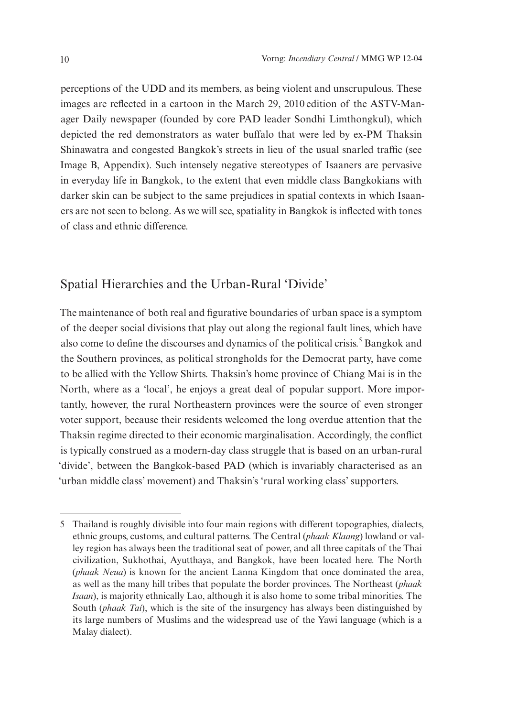perceptions of the UDD and its members, as being violent and unscrupulous. These images are reflected in a cartoon in the March 29, 2010 edition of the ASTV-Manager Daily newspaper (founded by core PAD leader Sondhi Limthongkul), which depicted the red demonstrators as water buffalo that were led by ex-PM Thaksin Shinawatra and congested Bangkok's streets in lieu of the usual snarled traffic (see Image B, Appendix). Such intensely negative stereotypes of Isaaners are pervasive in everyday life in Bangkok, to the extent that even middle class Bangkokians with darker skin can be subject to the same prejudices in spatial contexts in which Isaaners are not seen to belong. As we will see, spatiality in Bangkok is inflected with tones of class and ethnic difference.

# Spatial Hierarchies and the Urban-Rural 'Divide'

The maintenance of both real and figurative boundaries of urban space is a symptom of the deeper social divisions that play out along the regional fault lines, which have also come to define the discourses and dynamics of the political crisis.<sup>5</sup> Bangkok and the Southern provinces, as political strongholds for the Democrat party, have come to be allied with the Yellow Shirts. Thaksin's home province of Chiang Mai is in the North, where as a 'local', he enjoys a great deal of popular support. More importantly, however, the rural Northeastern provinces were the source of even stronger voter support, because their residents welcomed the long overdue attention that the Thaksin regime directed to their economic marginalisation. Accordingly, the conflict is typically construed as a modern-day class struggle that is based on an urban-rural 'divide', between the Bangkok-based PAD (which is invariably characterised as an 'urban middle class' movement) and Thaksin's 'rural working class' supporters.

<sup>5</sup> Thailand is roughly divisible into four main regions with different topographies, dialects, ethnic groups, customs, and cultural patterns. The Central (*phaak Klaang*) lowland or valley region has always been the traditional seat of power, and all three capitals of the Thai civilization, Sukhothai, Ayutthaya, and Bangkok, have been located here. The North (*phaak Neua*) is known for the ancient Lanna Kingdom that once dominated the area, as well as the many hill tribes that populate the border provinces. The Northeast (*phaak Isaan*), is majority ethnically Lao, although it is also home to some tribal minorities. The South (*phaak Tai*), which is the site of the insurgency has always been distinguished by its large numbers of Muslims and the widespread use of the Yawi language (which is a Malay dialect).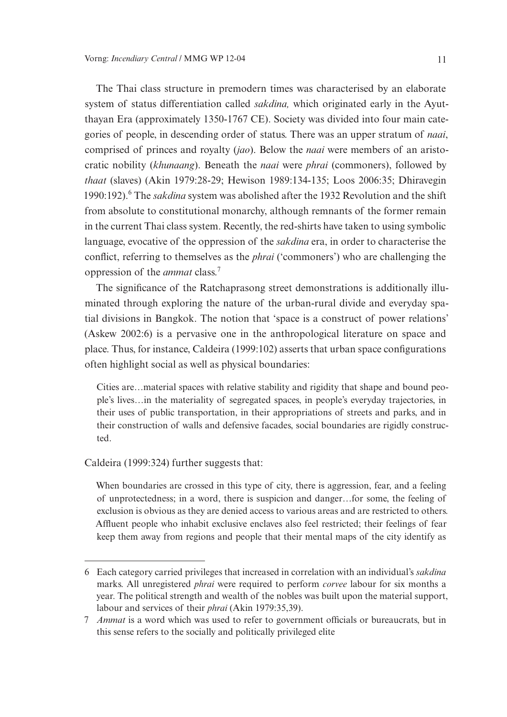The Thai class structure in premodern times was characterised by an elaborate system of status differentiation called *sakdina,* which originated early in the Ayutthayan Era (approximately 1350-1767 CE). Society was divided into four main categories of people, in descending order of status. There was an upper stratum of *naai*, comprised of princes and royalty (*jao*). Below the *naai* were members of an aristocratic nobility (*khunaang*). Beneath the *naai* were *phrai* (commoners), followed by *thaat* (slaves) (Akin 1979:28-29; Hewison 1989:134-135; Loos 2006:35; Dhiravegin 1990:192).<sup>6</sup> The *sakdina* system was abolished after the 1932 Revolution and the shift from absolute to constitutional monarchy, although remnants of the former remain in the current Thai class system. Recently, the red-shirts have taken to using symbolic language, evocative of the oppression of the *sakdina* era, in order to characterise the conflict, referring to themselves as the *phrai* ('commoners') who are challenging the oppression of the *ammat* class.<sup>7</sup>

The significance of the Ratchaprasong street demonstrations is additionally illuminated through exploring the nature of the urban-rural divide and everyday spatial divisions in Bangkok. The notion that 'space is a construct of power relations' (Askew 2002:6) is a pervasive one in the anthropological literature on space and place. Thus, for instance, Caldeira (1999:102) asserts that urban space configurations often highlight social as well as physical boundaries:

Cities are…material spaces with relative stability and rigidity that shape and bound people's lives…in the materiality of segregated spaces, in people's everyday trajectories, in their uses of public transportation, in their appropriations of streets and parks, and in their construction of walls and defensive facades, social boundaries are rigidly constructed.

#### Caldeira (1999:324) further suggests that:

When boundaries are crossed in this type of city, there is aggression, fear, and a feeling of unprotectedness; in a word, there is suspicion and danger…for some, the feeling of exclusion is obvious as they are denied access to various areas and are restricted to others. Affluent people who inhabit exclusive enclaves also feel restricted; their feelings of fear keep them away from regions and people that their mental maps of the city identify as

<sup>6</sup> Each category carried privileges that increased in correlation with an individual's *sakdina* marks. All unregistered *phrai* were required to perform *corvee* labour for six months a year. The political strength and wealth of the nobles was built upon the material support, labour and services of their *phrai* (Akin 1979:35,39).

<sup>7</sup> *Ammat* is a word which was used to refer to government officials or bureaucrats, but in this sense refers to the socially and politically privileged elite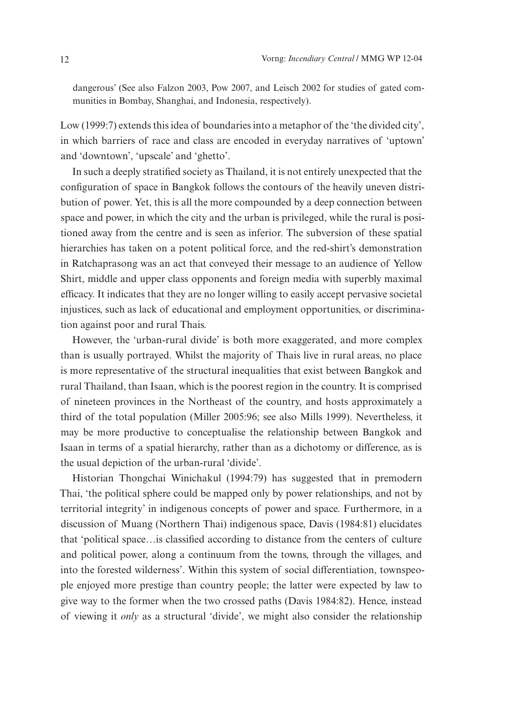dangerous' (See also Falzon 2003, Pow 2007, and Leisch 2002 for studies of gated communities in Bombay, Shanghai, and Indonesia, respectively).

Low (1999:7) extends this idea of boundaries into a metaphor of the 'the divided city', in which barriers of race and class are encoded in everyday narratives of 'uptown' and 'downtown', 'upscale' and 'ghetto'.

In such a deeply stratified society as Thailand, it is not entirely unexpected that the configuration of space in Bangkok follows the contours of the heavily uneven distribution of power. Yet, this is all the more compounded by a deep connection between space and power, in which the city and the urban is privileged, while the rural is positioned away from the centre and is seen as inferior. The subversion of these spatial hierarchies has taken on a potent political force, and the red-shirt's demonstration in Ratchaprasong was an act that conveyed their message to an audience of Yellow Shirt, middle and upper class opponents and foreign media with superbly maximal efficacy. It indicates that they are no longer willing to easily accept pervasive societal injustices, such as lack of educational and employment opportunities, or discrimination against poor and rural Thais.

However, the 'urban-rural divide' is both more exaggerated, and more complex than is usually portrayed. Whilst the majority of Thais live in rural areas, no place is more representative of the structural inequalities that exist between Bangkok and rural Thailand, than Isaan, which is the poorest region in the country. It is comprised of nineteen provinces in the Northeast of the country, and hosts approximately a third of the total population (Miller 2005:96; see also Mills 1999). Nevertheless, it may be more productive to conceptualise the relationship between Bangkok and Isaan in terms of a spatial hierarchy, rather than as a dichotomy or difference, as is the usual depiction of the urban-rural 'divide'.

Historian Thongchai Winichakul (1994:79) has suggested that in premodern Thai, 'the political sphere could be mapped only by power relationships, and not by territorial integrity' in indigenous concepts of power and space. Furthermore, in a discussion of Muang (Northern Thai) indigenous space, Davis (1984:81) elucidates that 'political space…is classified according to distance from the centers of culture and political power, along a continuum from the towns, through the villages, and into the forested wilderness'. Within this system of social differentiation, townspeople enjoyed more prestige than country people; the latter were expected by law to give way to the former when the two crossed paths (Davis 1984:82). Hence, instead of viewing it *only* as a structural 'divide', we might also consider the relationship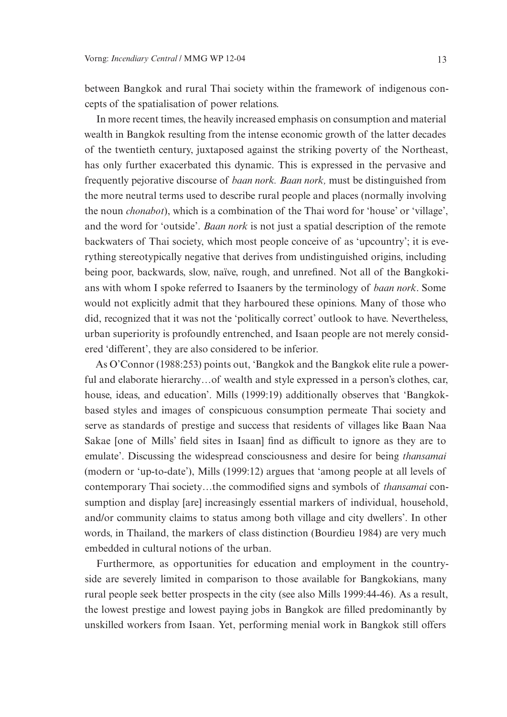between Bangkok and rural Thai society within the framework of indigenous concepts of the spatialisation of power relations.

In more recent times, the heavily increased emphasis on consumption and material wealth in Bangkok resulting from the intense economic growth of the latter decades of the twentieth century, juxtaposed against the striking poverty of the Northeast, has only further exacerbated this dynamic. This is expressed in the pervasive and frequently pejorative discourse of *baan nork. Baan nork,* must be distinguished from the more neutral terms used to describe rural people and places (normally involving the noun *chonabot*), which is a combination of the Thai word for 'house' or 'village', and the word for 'outside'. *Baan nork* is not just a spatial description of the remote backwaters of Thai society, which most people conceive of as 'upcountry'; it is everything stereotypically negative that derives from undistinguished origins, including being poor, backwards, slow, naïve, rough, and unrefined. Not all of the Bangkokians with whom I spoke referred to Isaaners by the terminology of *baan nork*. Some would not explicitly admit that they harboured these opinions. Many of those who did, recognized that it was not the 'politically correct' outlook to have. Nevertheless, urban superiority is profoundly entrenched, and Isaan people are not merely considered 'different', they are also considered to be inferior.

As O'Connor (1988:253) points out, 'Bangkok and the Bangkok elite rule a powerful and elaborate hierarchy…of wealth and style expressed in a person's clothes, car, house, ideas, and education'. Mills (1999:19) additionally observes that 'Bangkokbased styles and images of conspicuous consumption permeate Thai society and serve as standards of prestige and success that residents of villages like Baan Naa Sakae [one of Mills' field sites in Isaan] find as difficult to ignore as they are to emulate'. Discussing the widespread consciousness and desire for being *thansamai* (modern or 'up-to-date'), Mills (1999:12) argues that 'among people at all levels of contemporary Thai society…the commodified signs and symbols of *thansamai* consumption and display [are] increasingly essential markers of individual, household, and/or community claims to status among both village and city dwellers'. In other words, in Thailand, the markers of class distinction (Bourdieu 1984) are very much embedded in cultural notions of the urban.

Furthermore, as opportunities for education and employment in the countryside are severely limited in comparison to those available for Bangkokians, many rural people seek better prospects in the city (see also Mills 1999:44-46). As a result, the lowest prestige and lowest paying jobs in Bangkok are filled predominantly by unskilled workers from Isaan. Yet, performing menial work in Bangkok still offers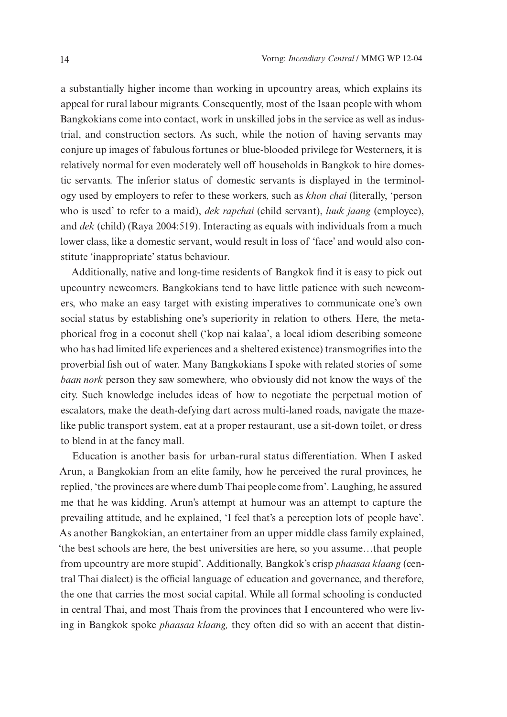a substantially higher income than working in upcountry areas, which explains its appeal for rural labour migrants. Consequently, most of the Isaan people with whom Bangkokians come into contact, work in unskilled jobs in the service as well as industrial, and construction sectors. As such, while the notion of having servants may conjure up images of fabulous fortunes or blue-blooded privilege for Westerners, it is relatively normal for even moderately well off households in Bangkok to hire domestic servants. The inferior status of domestic servants is displayed in the terminology used by employers to refer to these workers, such as *khon chai* (literally, 'person who is used' to refer to a maid), *dek rapchai* (child servant), *luuk jaang* (employee), and *dek* (child) (Raya 2004:519). Interacting as equals with individuals from a much lower class, like a domestic servant, would result in loss of 'face' and would also constitute 'inappropriate' status behaviour.

Additionally, native and long-time residents of Bangkok find it is easy to pick out upcountry newcomers. Bangkokians tend to have little patience with such newcomers, who make an easy target with existing imperatives to communicate one's own social status by establishing one's superiority in relation to others. Here, the metaphorical frog in a coconut shell ('kop nai kalaa', a local idiom describing someone who has had limited life experiences and a sheltered existence) transmogrifies into the proverbial fish out of water. Many Bangkokians I spoke with related stories of some *baan nork* person they saw somewhere*,* who obviously did not know the ways of the city. Such knowledge includes ideas of how to negotiate the perpetual motion of escalators, make the death-defying dart across multi-laned roads, navigate the mazelike public transport system, eat at a proper restaurant, use a sit-down toilet, or dress to blend in at the fancy mall.

Education is another basis for urban-rural status differentiation. When I asked Arun, a Bangkokian from an elite family, how he perceived the rural provinces, he replied, 'the provinces are where dumb Thai people come from'. Laughing, he assured me that he was kidding. Arun's attempt at humour was an attempt to capture the prevailing attitude, and he explained, 'I feel that's a perception lots of people have'. As another Bangkokian, an entertainer from an upper middle class family explained, 'the best schools are here, the best universities are here, so you assume…that people from upcountry are more stupid'. Additionally, Bangkok's crisp *phaasaa klaang* (central Thai dialect) is the official language of education and governance, and therefore, the one that carries the most social capital. While all formal schooling is conducted in central Thai, and most Thais from the provinces that I encountered who were living in Bangkok spoke *phaasaa klaang,* they often did so with an accent that distin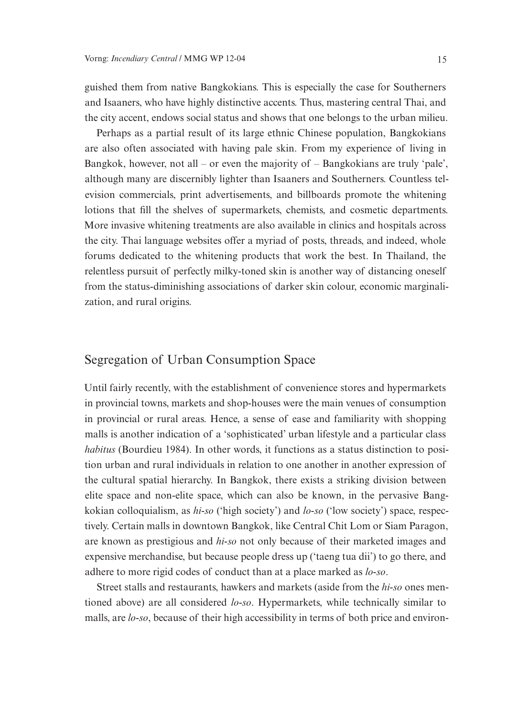guished them from native Bangkokians. This is especially the case for Southerners and Isaaners, who have highly distinctive accents. Thus, mastering central Thai, and the city accent, endows social status and shows that one belongs to the urban milieu.

Perhaps as a partial result of its large ethnic Chinese population, Bangkokians are also often associated with having pale skin. From my experience of living in Bangkok, however, not all – or even the majority of  $-$  Bangkokians are truly 'pale', although many are discernibly lighter than Isaaners and Southerners. Countless television commercials, print advertisements, and billboards promote the whitening lotions that fill the shelves of supermarkets, chemists, and cosmetic departments. More invasive whitening treatments are also available in clinics and hospitals across the city. Thai language websites offer a myriad of posts, threads, and indeed, whole forums dedicated to the whitening products that work the best. In Thailand, the relentless pursuit of perfectly milky-toned skin is another way of distancing oneself from the status-diminishing associations of darker skin colour, economic marginalization, and rural origins.

# Segregation of Urban Consumption Space

Until fairly recently, with the establishment of convenience stores and hypermarkets in provincial towns, markets and shop-houses were the main venues of consumption in provincial or rural areas. Hence, a sense of ease and familiarity with shopping malls is another indication of a 'sophisticated' urban lifestyle and a particular class *habitus* (Bourdieu 1984). In other words, it functions as a status distinction to position urban and rural individuals in relation to one another in another expression of the cultural spatial hierarchy. In Bangkok, there exists a striking division between elite space and non-elite space, which can also be known, in the pervasive Bangkokian colloquialism, as *hi-so* ('high society') and *lo-so* ('low society') space, respectively. Certain malls in downtown Bangkok, like Central Chit Lom or Siam Paragon, are known as prestigious and *hi-so* not only because of their marketed images and expensive merchandise, but because people dress up ('taeng tua dii') to go there, and adhere to more rigid codes of conduct than at a place marked as *lo-so*.

Street stalls and restaurants, hawkers and markets (aside from the *hi-so* ones mentioned above) are all considered *lo-so*. Hypermarkets, while technically similar to malls, are *lo-so*, because of their high accessibility in terms of both price and environ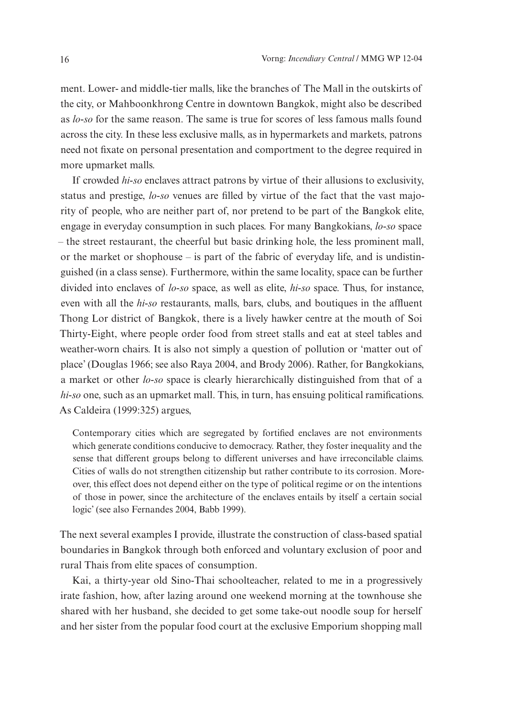ment. Lower- and middle-tier malls, like the branches of The Mall in the outskirts of the city, or Mahboonkhrong Centre in downtown Bangkok, might also be described as *lo-so* for the same reason. The same is true for scores of less famous malls found across the city. In these less exclusive malls, as in hypermarkets and markets, patrons need not fixate on personal presentation and comportment to the degree required in more upmarket malls.

If crowded *hi-so* enclaves attract patrons by virtue of their allusions to exclusivity, status and prestige, *lo-so* venues are filled by virtue of the fact that the vast majority of people, who are neither part of, nor pretend to be part of the Bangkok elite, engage in everyday consumption in such places. For many Bangkokians, *lo-so* space – the street restaurant, the cheerful but basic drinking hole, the less prominent mall, or the market or shophouse – is part of the fabric of everyday life, and is undistinguished (in a class sense). Furthermore, within the same locality, space can be further divided into enclaves of *lo-so* space, as well as elite, *hi-so* space. Thus, for instance, even with all the *hi-so* restaurants, malls, bars, clubs, and boutiques in the affluent Thong Lor district of Bangkok, there is a lively hawker centre at the mouth of Soi Thirty-Eight, where people order food from street stalls and eat at steel tables and weather-worn chairs. It is also not simply a question of pollution or 'matter out of place' (Douglas 1966; see also Raya 2004, and Brody 2006). Rather, for Bangkokians, a market or other *lo-so* space is clearly hierarchically distinguished from that of a *hi-so* one, such as an upmarket mall. This, in turn, has ensuing political ramifications. As Caldeira (1999:325) argues,

Contemporary cities which are segregated by fortified enclaves are not environments which generate conditions conducive to democracy. Rather, they foster inequality and the sense that different groups belong to different universes and have irreconcilable claims. Cities of walls do not strengthen citizenship but rather contribute to its corrosion. Moreover, this effect does not depend either on the type of political regime or on the intentions of those in power, since the architecture of the enclaves entails by itself a certain social logic' (see also Fernandes 2004, Babb 1999).

The next several examples I provide, illustrate the construction of class-based spatial boundaries in Bangkok through both enforced and voluntary exclusion of poor and rural Thais from elite spaces of consumption.

Kai, a thirty-year old Sino-Thai schoolteacher, related to me in a progressively irate fashion, how, after lazing around one weekend morning at the townhouse she shared with her husband, she decided to get some take-out noodle soup for herself and her sister from the popular food court at the exclusive Emporium shopping mall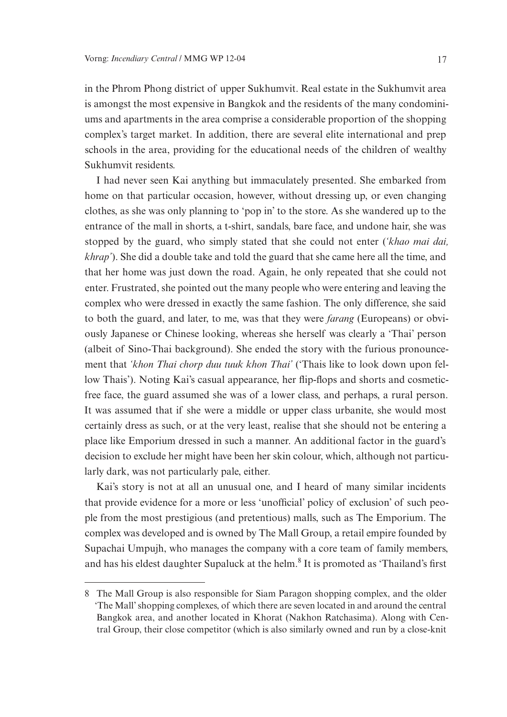in the Phrom Phong district of upper Sukhumvit. Real estate in the Sukhumvit area is amongst the most expensive in Bangkok and the residents of the many condominiums and apartments in the area comprise a considerable proportion of the shopping complex's target market. In addition, there are several elite international and prep schools in the area, providing for the educational needs of the children of wealthy Sukhumvit residents.

I had never seen Kai anything but immaculately presented. She embarked from home on that particular occasion, however, without dressing up, or even changing clothes, as she was only planning to 'pop in' to the store. As she wandered up to the entrance of the mall in shorts, a t-shirt, sandals, bare face, and undone hair, she was stopped by the guard, who simply stated that she could not enter (*'khao mai dai, khrap'*). She did a double take and told the guard that she came here all the time, and that her home was just down the road. Again, he only repeated that she could not enter. Frustrated, she pointed out the many people who were entering and leaving the complex who were dressed in exactly the same fashion. The only difference, she said to both the guard, and later, to me, was that they were *farang* (Europeans) or obviously Japanese or Chinese looking, whereas she herself was clearly a 'Thai' person (albeit of Sino-Thai background). She ended the story with the furious pronouncement that *'khon Thai chorp duu tuuk khon Thai'* ('Thais like to look down upon fellow Thais'). Noting Kai's casual appearance, her flip-flops and shorts and cosmeticfree face, the guard assumed she was of a lower class, and perhaps, a rural person. It was assumed that if she were a middle or upper class urbanite, she would most certainly dress as such, or at the very least, realise that she should not be entering a place like Emporium dressed in such a manner. An additional factor in the guard's decision to exclude her might have been her skin colour, which, although not particularly dark, was not particularly pale, either*.*

Kai's story is not at all an unusual one, and I heard of many similar incidents that provide evidence for a more or less 'unofficial' policy of exclusion' of such people from the most prestigious (and pretentious) malls, such as The Emporium. The complex was developed and is owned by The Mall Group, a retail empire founded by Supachai Umpujh, who manages the company with a core team of family members, and has his eldest daughter Supaluck at the helm.<sup>8</sup> It is promoted as 'Thailand's first

<sup>8</sup> The Mall Group is also responsible for Siam Paragon shopping complex, and the older 'The Mall' shopping complexes, of which there are seven located in and around the central Bangkok area, and another located in Khorat (Nakhon Ratchasima). Along with Central Group, their close competitor (which is also similarly owned and run by a close-knit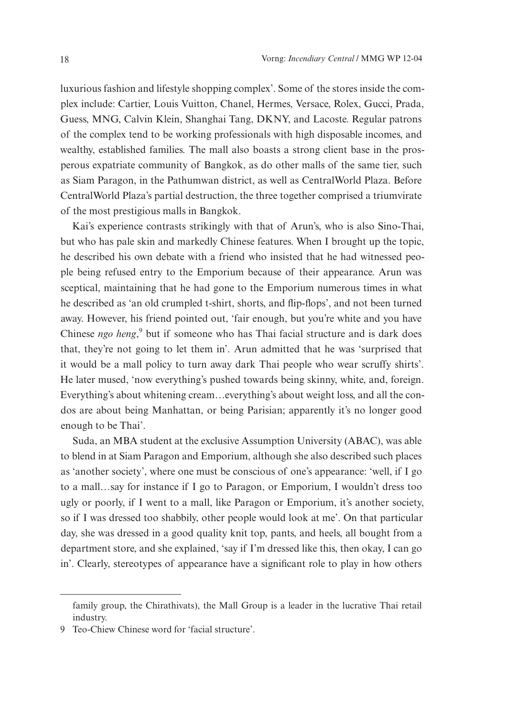luxurious fashion and lifestyle shopping complex'. Some of the stores inside the complex include: Cartier, Louis Vuitton, Chanel, Hermes, Versace, Rolex, Gucci, Prada, Guess, MNG, Calvin Klein, Shanghai Tang, DKNY, and Lacoste. Regular patrons of the complex tend to be working professionals with high disposable incomes, and wealthy, established families. The mall also boasts a strong client base in the prosperous expatriate community of Bangkok, as do other malls of the same tier, such as Siam Paragon, in the Pathumwan district, as well as CentralWorld Plaza. Before CentralWorld Plaza's partial destruction, the three together comprised a triumvirate of the most prestigious malls in Bangkok.

Kai's experience contrasts strikingly with that of Arun's, who is also Sino-Thai, but who has pale skin and markedly Chinese features. When I brought up the topic, he described his own debate with a friend who insisted that he had witnessed people being refused entry to the Emporium because of their appearance. Arun was sceptical, maintaining that he had gone to the Emporium numerous times in what he described as 'an old crumpled t-shirt, shorts, and flip-flops', and not been turned away. However, his friend pointed out, 'fair enough, but you're white and you have Chinese *ngo heng*,<sup>9</sup> but if someone who has Thai facial structure and is dark does that, they're not going to let them in'. Arun admitted that he was 'surprised that it would be a mall policy to turn away dark Thai people who wear scruffy shirts'. He later mused, 'now everything's pushed towards being skinny, white, and, foreign. Everything's about whitening cream…everything's about weight loss, and all the condos are about being Manhattan, or being Parisian; apparently it's no longer good enough to be Thai'.

Suda, an MBA student at the exclusive Assumption University (ABAC), was able to blend in at Siam Paragon and Emporium, although she also described such places as 'another society', where one must be conscious of one's appearance: 'well, if I go to a mall…say for instance if I go to Paragon, or Emporium, I wouldn't dress too ugly or poorly, if I went to a mall, like Paragon or Emporium, it's another society, so if I was dressed too shabbily, other people would look at me'. On that particular day, she was dressed in a good quality knit top, pants, and heels, all bought from a department store, and she explained, 'say if I'm dressed like this, then okay, I can go in'. Clearly, stereotypes of appearance have a significant role to play in how others

family group, the Chirathivats), the Mall Group is a leader in the lucrative Thai retail industry.

<sup>9</sup> Teo-Chiew Chinese word for 'facial structure'.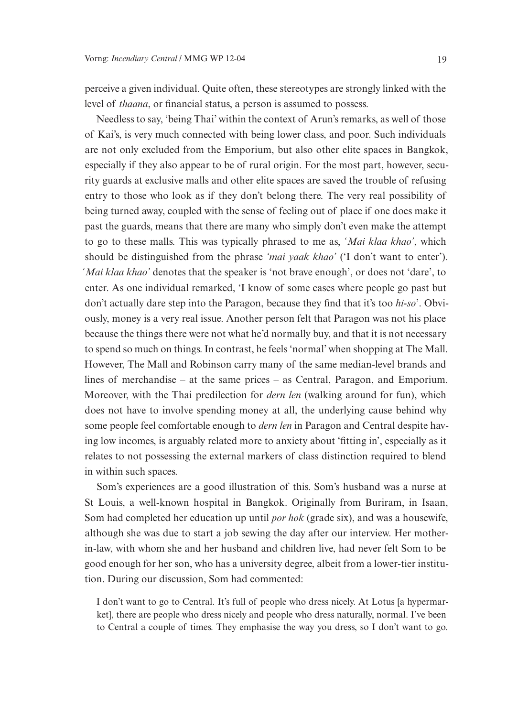perceive a given individual. Quite often, these stereotypes are strongly linked with the level of *thaana*, or financial status, a person is assumed to possess.

Needless to say, 'being Thai' within the context of Arun's remarks, as well of those of Kai's, is very much connected with being lower class, and poor. Such individuals are not only excluded from the Emporium, but also other elite spaces in Bangkok, especially if they also appear to be of rural origin. For the most part, however, security guards at exclusive malls and other elite spaces are saved the trouble of refusing entry to those who look as if they don't belong there. The very real possibility of being turned away, coupled with the sense of feeling out of place if one does make it past the guards, means that there are many who simply don't even make the attempt to go to these malls. This was typically phrased to me as, *'Mai klaa khao'*, which should be distinguished from the phrase *'mai yaak khao'* ('I don't want to enter'). *'Mai klaa khao'* denotes that the speaker is 'not brave enough', or does not 'dare', to enter. As one individual remarked, 'I know of some cases where people go past but don't actually dare step into the Paragon, because they find that it's too *hi-so*'. Obviously, money is a very real issue. Another person felt that Paragon was not his place because the things there were not what he'd normally buy, and that it is not necessary to spend so much on things. In contrast, he feels 'normal' when shopping at The Mall. However, The Mall and Robinson carry many of the same median-level brands and lines of merchandise – at the same prices – as Central, Paragon, and Emporium. Moreover, with the Thai predilection for *dern len* (walking around for fun), which does not have to involve spending money at all, the underlying cause behind why some people feel comfortable enough to *dern len* in Paragon and Central despite having low incomes, is arguably related more to anxiety about 'fitting in', especially as it relates to not possessing the external markers of class distinction required to blend in within such spaces.

Som's experiences are a good illustration of this. Som's husband was a nurse at St Louis, a well-known hospital in Bangkok. Originally from Buriram, in Isaan, Som had completed her education up until *por hok* (grade six), and was a housewife, although she was due to start a job sewing the day after our interview. Her motherin-law, with whom she and her husband and children live, had never felt Som to be good enough for her son, who has a university degree, albeit from a lower-tier institution. During our discussion, Som had commented:

I don't want to go to Central. It's full of people who dress nicely. At Lotus [a hypermarket], there are people who dress nicely and people who dress naturally, normal. I've been to Central a couple of times. They emphasise the way you dress, so I don't want to go.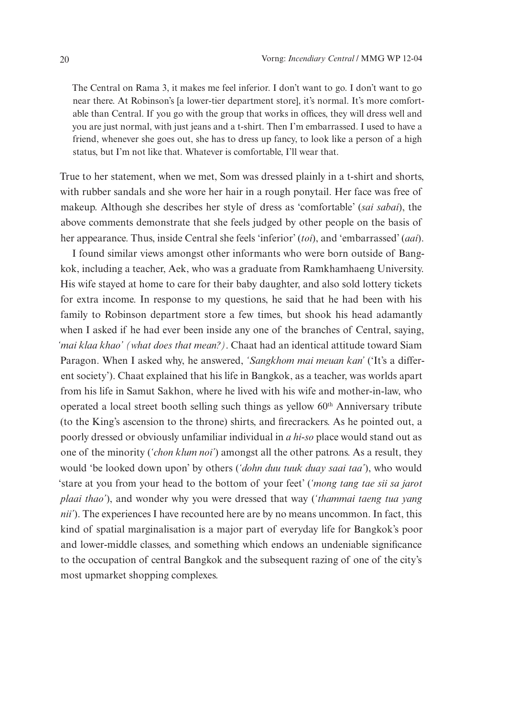The Central on Rama 3, it makes me feel inferior. I don't want to go. I don't want to go near there. At Robinson's [a lower-tier department store], it's normal. It's more comfortable than Central. If you go with the group that works in offices, they will dress well and you are just normal, with just jeans and a t-shirt. Then I'm embarrassed. I used to have a friend, whenever she goes out, she has to dress up fancy, to look like a person of a high status, but I'm not like that. Whatever is comfortable, I'll wear that.

True to her statement, when we met, Som was dressed plainly in a t-shirt and shorts, with rubber sandals and she wore her hair in a rough ponytail. Her face was free of makeup. Although she describes her style of dress as 'comfortable' (*sai sabai*), the above comments demonstrate that she feels judged by other people on the basis of her appearance. Thus, inside Central she feels 'inferior' (*toi*), and 'embarrassed' (*aai*).

I found similar views amongst other informants who were born outside of Bangkok, including a teacher, Aek, who was a graduate from Ramkhamhaeng University. His wife stayed at home to care for their baby daughter, and also sold lottery tickets for extra income. In response to my questions, he said that he had been with his family to Robinson department store a few times, but shook his head adamantly when I asked if he had ever been inside any one of the branches of Central, saying, *'mai klaa khao' (what does that mean?)*. Chaat had an identical attitude toward Siam Paragon. When I asked why, he answered, *'Sangkhom mai meuan kan'* ('It's a different society'). Chaat explained that his life in Bangkok, as a teacher, was worlds apart from his life in Samut Sakhon, where he lived with his wife and mother-in-law, who operated a local street booth selling such things as yellow 60<sup>th</sup> Anniversary tribute (to the King's ascension to the throne) shirts, and firecrackers. As he pointed out, a poorly dressed or obviously unfamiliar individual in *a hi-so* place would stand out as one of the minority (*'chon klum noi'*) amongst all the other patrons. As a result, they would 'be looked down upon' by others (*'dohn duu tuuk duay saai taa'*), who would 'stare at you from your head to the bottom of your feet' (*'mong tang tae sii sa jarot plaai thao'*), and wonder why you were dressed that way (*'thammai taeng tua yang nii'*). The experiences I have recounted here are by no means uncommon. In fact, this kind of spatial marginalisation is a major part of everyday life for Bangkok's poor and lower-middle classes, and something which endows an undeniable significance to the occupation of central Bangkok and the subsequent razing of one of the city's most upmarket shopping complexes.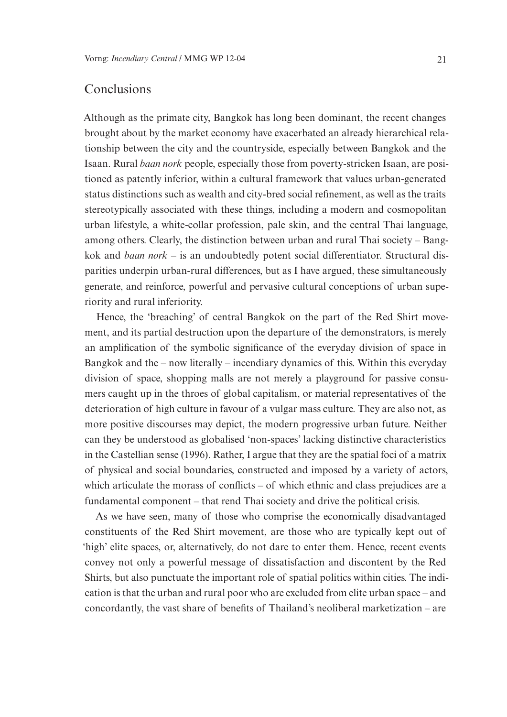# Conclusions

Although as the primate city, Bangkok has long been dominant, the recent changes brought about by the market economy have exacerbated an already hierarchical relationship between the city and the countryside, especially between Bangkok and the Isaan. Rural *baan nork* people, especially those from poverty-stricken Isaan, are positioned as patently inferior, within a cultural framework that values urban-generated status distinctions such as wealth and city-bred social refinement, as well as the traits stereotypically associated with these things, including a modern and cosmopolitan urban lifestyle, a white-collar profession, pale skin, and the central Thai language, among others. Clearly, the distinction between urban and rural Thai society – Bangkok and *baan nork* – is an undoubtedly potent social differentiator. Structural disparities underpin urban-rural differences, but as I have argued, these simultaneously generate, and reinforce, powerful and pervasive cultural conceptions of urban superiority and rural inferiority.

Hence, the 'breaching' of central Bangkok on the part of the Red Shirt movement, and its partial destruction upon the departure of the demonstrators, is merely an amplification of the symbolic significance of the everyday division of space in Bangkok and the – now literally – incendiary dynamics of this. Within this everyday division of space, shopping malls are not merely a playground for passive consumers caught up in the throes of global capitalism, or material representatives of the deterioration of high culture in favour of a vulgar mass culture. They are also not, as more positive discourses may depict, the modern progressive urban future. Neither can they be understood as globalised 'non-spaces' lacking distinctive characteristics in the Castellian sense (1996). Rather, I argue that they are the spatial foci of a matrix of physical and social boundaries, constructed and imposed by a variety of actors, which articulate the morass of conflicts – of which ethnic and class prejudices are a fundamental component – that rend Thai society and drive the political crisis.

As we have seen, many of those who comprise the economically disadvantaged constituents of the Red Shirt movement, are those who are typically kept out of 'high' elite spaces, or, alternatively, do not dare to enter them. Hence, recent events convey not only a powerful message of dissatisfaction and discontent by the Red Shirts, but also punctuate the important role of spatial politics within cities. The indication is that the urban and rural poor who are excluded from elite urban space – and concordantly, the vast share of benefits of Thailand's neoliberal marketization – are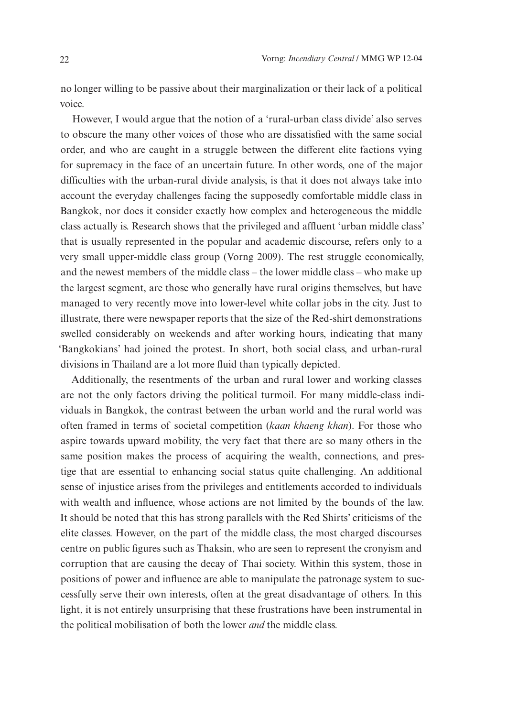no longer willing to be passive about their marginalization or their lack of a political voice.

However, I would argue that the notion of a 'rural-urban class divide' also serves to obscure the many other voices of those who are dissatisfied with the same social order, and who are caught in a struggle between the different elite factions vying for supremacy in the face of an uncertain future. In other words, one of the major difficulties with the urban-rural divide analysis, is that it does not always take into account the everyday challenges facing the supposedly comfortable middle class in Bangkok, nor does it consider exactly how complex and heterogeneous the middle class actually is. Research shows that the privileged and affluent 'urban middle class' that is usually represented in the popular and academic discourse, refers only to a very small upper-middle class group (Vorng 2009). The rest struggle economically, and the newest members of the middle class – the lower middle class – who make up the largest segment, are those who generally have rural origins themselves, but have managed to very recently move into lower-level white collar jobs in the city. Just to illustrate, there were newspaper reports that the size of the Red-shirt demonstrations swelled considerably on weekends and after working hours, indicating that many 'Bangkokians' had joined the protest. In short, both social class, and urban-rural divisions in Thailand are a lot more fluid than typically depicted.

Additionally, the resentments of the urban and rural lower and working classes are not the only factors driving the political turmoil. For many middle-class individuals in Bangkok, the contrast between the urban world and the rural world was often framed in terms of societal competition (*kaan khaeng khan*). For those who aspire towards upward mobility, the very fact that there are so many others in the same position makes the process of acquiring the wealth, connections, and prestige that are essential to enhancing social status quite challenging. An additional sense of injustice arises from the privileges and entitlements accorded to individuals with wealth and influence, whose actions are not limited by the bounds of the law. It should be noted that this has strong parallels with the Red Shirts' criticisms of the elite classes. However, on the part of the middle class, the most charged discourses centre on public figures such as Thaksin, who are seen to represent the cronyism and corruption that are causing the decay of Thai society. Within this system, those in positions of power and influence are able to manipulate the patronage system to successfully serve their own interests, often at the great disadvantage of others. In this light, it is not entirely unsurprising that these frustrations have been instrumental in the political mobilisation of both the lower *and* the middle class.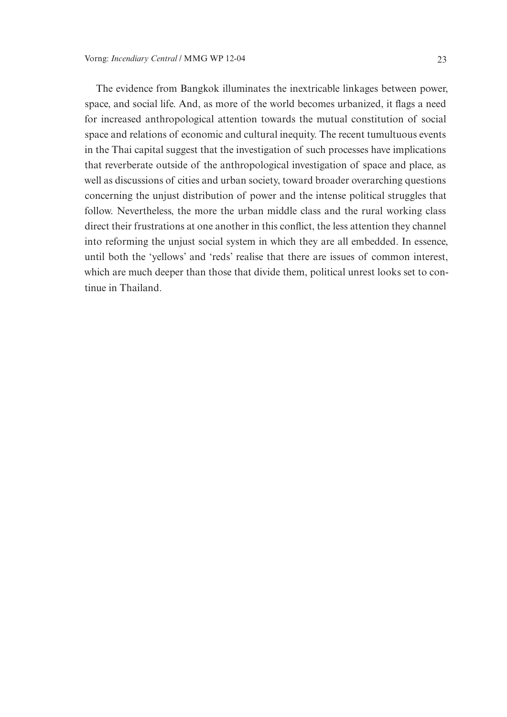The evidence from Bangkok illuminates the inextricable linkages between power, space, and social life. And, as more of the world becomes urbanized, it flags a need for increased anthropological attention towards the mutual constitution of social space and relations of economic and cultural inequity. The recent tumultuous events in the Thai capital suggest that the investigation of such processes have implications that reverberate outside of the anthropological investigation of space and place, as well as discussions of cities and urban society, toward broader overarching questions concerning the unjust distribution of power and the intense political struggles that follow. Nevertheless, the more the urban middle class and the rural working class direct their frustrations at one another in this conflict, the less attention they channel into reforming the unjust social system in which they are all embedded. In essence, until both the 'yellows' and 'reds' realise that there are issues of common interest, which are much deeper than those that divide them, political unrest looks set to continue in Thailand.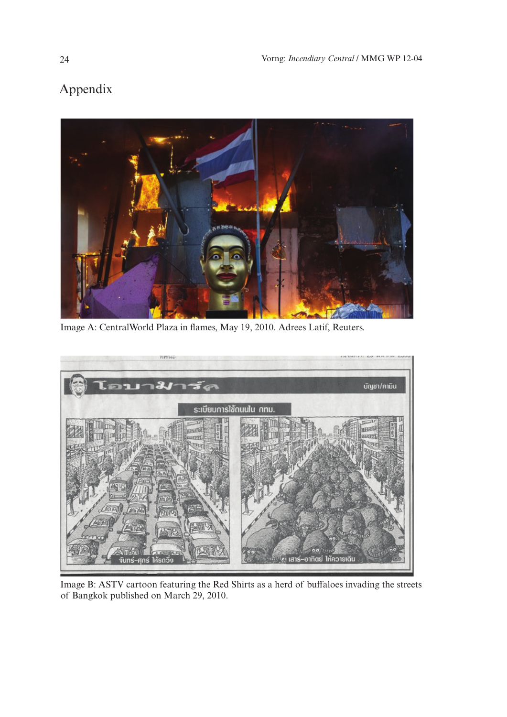# Appendix



Image A: CentralWorld Plaza in flames, May 19, 2010. Adrees Latif, Reuters.



Image B: ASTV cartoon featuring the Red Shirts as a herd of buffaloes invading the streets of Bangkok published on March 29, 2010.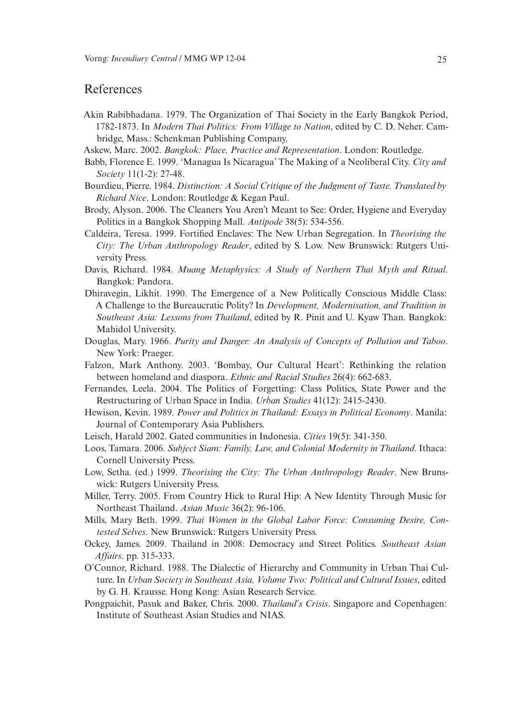### References

- Akin Rabibhadana. 1979. The Organization of Thai Society in the Early Bangkok Period, 1782-1873. In *Modern Thai Politics: From Village to Nation*, edited by C. D. Neher. Cambridge, Mass.: Schenkman Publishing Company.
- Askew, Marc. 2002. *Bangkok: Place, Practice and Representation*. London: Routledge.
- Babb, Florence E. 1999. 'Managua Is Nicaragua' The Making of a Neoliberal City. *City and Society* 11(1-2): 27-48.
- Bourdieu, Pierre. 1984. *Distinction: A Social Critique of the Judgment of Taste. Translated by Richard Nice*. London: Routledge & Kegan Paul.
- Brody, Alyson. 2006. The Cleaners You Aren't Meant to See: Order, Hygiene and Everyday Politics in a Bangkok Shopping Mall. *Antipode* 38(5): 534-556.
- Caldeira, Teresa. 1999. Fortified Enclaves: The New Urban Segregation. In *Theorising the City: The Urban Anthropology Reader*, edited by S. Low. New Brunswick: Rutgers University Press.
- Davis, Richard. 1984. *Muang Metaphysics: A Study of Northern Thai Myth and Ritual*. Bangkok: Pandora.
- Dhiravegin, Likhit. 1990. The Emergence of a New Politically Conscious Middle Class: A Challenge to the Bureaucratic Polity? In *Development, Modernisation, and Tradition in Southeast Asia: Lessons from Thailand*, edited by R. Pinit and U. Kyaw Than. Bangkok: Mahidol University.
- Douglas, Mary. 1966. *Purity and Danger: An Analysis of Concepts of Pollution and Taboo*. New York: Praeger.
- Falzon, Mark Anthony. 2003. 'Bombay, Our Cultural Heart': Rethinking the relation between homeland and diaspora. *Ethnic and Racial Studies* 26(4): 662-683.
- Fernandes, Leela. 2004. The Politics of Forgetting: Class Politics, State Power and the Restructuring of Urban Space in India. *Urban Studies* 41(12): 2415-2430.
- Hewison, Kevin. 1989. *Power and Politics in Thailand: Essays in Political Economy*. Manila: Journal of Contemporary Asia Publishers.
- Leisch, Harald 2002. Gated communities in Indonesia. *Cities* 19(5): 341-350.
- Loos, Tamara. 2006. *Subject Siam: Family, Law, and Colonial Modernity in Thailand*. Ithaca: Cornell University Press.
- Low, Setha. (ed.) 1999. *Theorising the City: The Urban Anthropology Reader*. New Brunswick: Rutgers University Press.
- Miller, Terry. 2005. From Country Hick to Rural Hip: A New Identity Through Music for Northeast Thailand. *Asian Music* 36(2): 96-106.
- Mills, Mary Beth. 1999. *Thai Women in the Global Labor Force: Consuming Desire, Contested Selves*. New Brunswick: Rutgers University Press.
- Ockey, James. 2009. Thailand in 2008: Democracy and Street Politics. *Southeast Asian Affairs*. pp. 315-333.
- O'Connor, Richard. 1988. The Dialectic of Hierarchy and Community in Urban Thai Culture. In *Urban Society in Southeast Asia, Volume Two: Political and Cultural Issues*, edited by G. H. Krausse. Hong Kong: Asian Research Service.
- Pongpaichit, Pasuk and Baker, Chris. 2000. *Thailand's Crisis*. Singapore and Copenhagen: Institute of Southeast Asian Studies and NIAS.